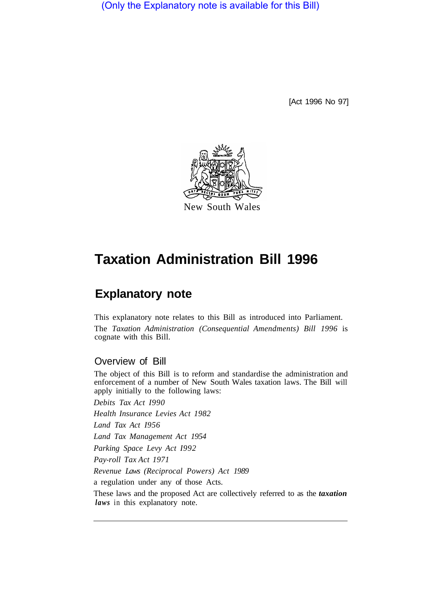(Only the Explanatory note is available for this Bill)

[Act 1996 No 97]



# **Taxation Administration Bill 1996**

## **Explanatory note**

This explanatory note relates to this Bill as introduced into Parliament. The *Taxation Administration (Consequential Amendments) Bill 1996* is cognate with this Bill.

### Overview of Bill

The object of this Bill is to reform and standardise the administration and enforcement of a number of New South Wales taxation laws. The Bill will apply initially to the following laws:

*Debits Tax Act I990* 

*Health Insurance Levies Act 1982* 

*Land Tax Act I956* 

*Land Tax Management Act 1954* 

*Parking Space Levy Act I992* 

*Pay-roll Tax Act 1971* 

*Revenue Laws (Reciprocal Powers) Act 1989* 

a regulation under any of those Acts.

These laws and the proposed Act are collectively referred to as the *taxation laws* in this explanatory note.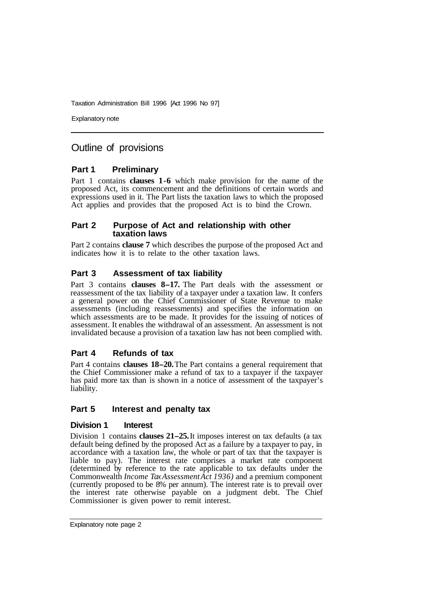Explanatory note

### Outline of provisions

### **Part 1 Preliminary**

Part 1 contains **clauses 1-6** which make provision for the name of the proposed Act, its commencement and the definitions of certain words and expressions used in it. The Part lists the taxation laws to which the proposed Act applies and provides that the proposed Act is to bind the Crown.

#### **Part 2 Purpose of Act and relationship with other taxation laws**

Part 2 contains **clause 7** which describes the purpose of the proposed Act and indicates how it is to relate to the other taxation laws.

### **Part 3 Assessment of tax liability**

Part 3 contains **clauses 8-17.** The Part deals with the assessment or reassessment of the tax liability of a taxpayer under a taxation law. It confers a general power on the Chief Commissioner of State Revenue to make assessments (including reassessments) and specifies the information on which assessments are to be made. It provides for the issuing of notices of assessment. It enables the withdrawal of an assessment. An assessment is not invalidated because a provision of a taxation law has not been complied with.

### **Part 4 Refunds of tax**

Part 4 contains **clauses 18-20.** The Part contains a general requirement that the Chief Commissioner make a refund of tax to a taxpayer if the taxpayer has paid more tax than is shown in a notice of assessment of the taxpayer's liability.

### **Part 5 Interest and penalty tax**

#### **Division 1 Interest**

Division 1 contains **clauses 21-25.** It imposes interest on tax defaults (a tax default being defined by the proposed Act as a failure by a taxpayer to pay, in accordance with a taxation law, the whole or part of tax that the taxpayer is liable to pay). The interest rate comprises a market rate component (determined by reference to the rate applicable to tax defaults under the Commonwealth *Income Tax Assessment Act 1936)* and a premium component (currently proposed to be 8% per annum). The interest rate is to prevail over the interest rate otherwise payable on a judgment debt. The Chief Commissioner is given power to remit interest.

Explanatory note page 2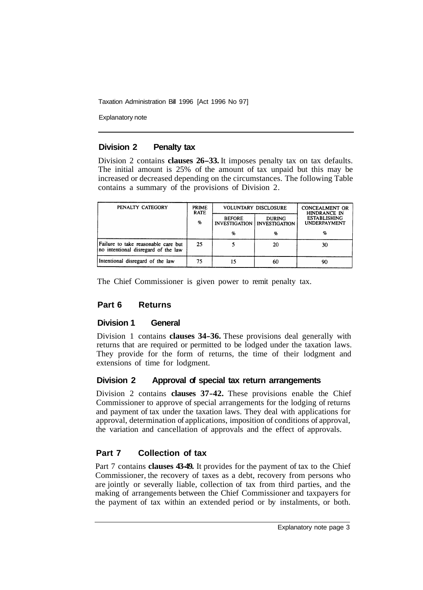Explanatory note

### **Division 2 Penalty tax**

Division 2 contains **clauses 26-33.** It imposes penalty tax on tax defaults. The initial amount is 25% of the amount of tax unpaid but this may be increased or decreased depending on the circumstances. The following Table contains a summary of the provisions of Division 2.

| PENALTY CATEGORY                                                           | <b>PRIME</b><br><b>RATE</b><br>$\%$ | VOLUNTARY DISCLOSURE |                                                       | <b>CONCEALMENT OR</b><br>HINDRANCE IN      |
|----------------------------------------------------------------------------|-------------------------------------|----------------------|-------------------------------------------------------|--------------------------------------------|
|                                                                            |                                     | <b>BEFORE</b>        | <b>DURING</b><br><b>INVESTIGATION   INVESTIGATION</b> | <b>ESTABLISHING</b><br><b>UNDERPAYMENT</b> |
|                                                                            |                                     | %                    | %                                                     | H,                                         |
| Failure to take reasonable care but<br>no intentional disregard of the law | 25                                  |                      | 20                                                    | 30                                         |
| Intentional disregard of the law                                           | 75                                  | 15                   | 60                                                    | 90                                         |

The Chief Commissioner is given power to remit penalty tax.

### **Part 6 Returns**

### **Division 1 General**

Division 1 contains **clauses 34-36.** These provisions deal generally with returns that are required or permitted to be lodged under the taxation laws. They provide for the form of returns, the time of their lodgment and extensions of time for lodgment.

### **Division 2 Approval of special tax return arrangements**

Division 2 contains **clauses 37-42.** These provisions enable the Chief Commissioner to approve of special arrangements for the lodging of returns and payment of tax under the taxation laws. They deal with applications for approval, determination of applications, imposition of conditions of approval, the variation and cancellation of approvals and the effect of approvals.

### **Part 7 Collection of tax**

Part 7 contains **clauses 43-49.** It provides for the payment of tax to the Chief Commissioner, the recovery of taxes as a debt, recovery from persons who are jointly or severally liable, collection of tax from third parties, and the making of arrangements between the Chief Commissioner and taxpayers for the payment of tax within an extended period or by instalments, or both.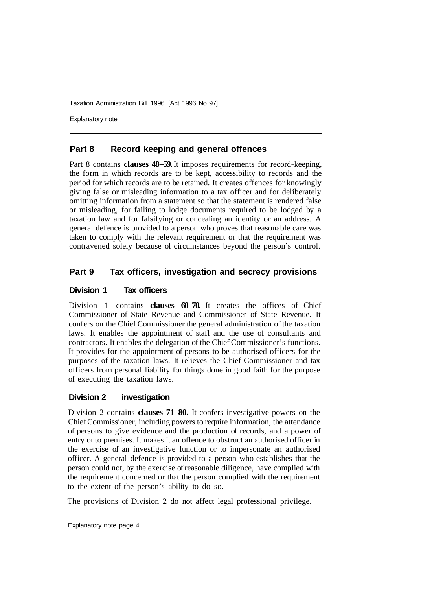Explanatory note

### **Part 8 Record keeping and general offences**

Part 8 contains **clauses 48–59.** It imposes requirements for record-keeping, the form in which records are to be kept, accessibility to records and the period for which records are to be retained. It creates offences for knowingly giving false or misleading information to a tax officer and for deliberately omitting information from a statement so that the statement is rendered false or misleading, for failing to lodge documents required to be lodged by a taxation law and for falsifying or concealing an identity or an address. A general defence is provided to a person who proves that reasonable care was taken to comply with the relevant requirement or that the requirement was contravened solely because of circumstances beyond the person's control.

### **Part 9 Tax officers, investigation and secrecy provisions**

### **Division 1 Tax officers**

Division 1 contains **clauses 60-70.** It creates the offices of Chief Commissioner of State Revenue and Commissioner of State Revenue. It confers on the Chief Commissioner the general administration of the taxation laws. It enables the appointment of staff and the use of consultants and contractors. It enables the delegation of the Chief Commissioner's functions. It provides for the appointment of persons to be authorised officers for the purposes of the taxation laws. It relieves the Chief Commissioner and tax officers from personal liability for things done in good faith for the purpose of executing the taxation laws.

### **Division 2 investigation**

Division 2 contains **clauses 71–80.** It confers investigative powers on the Chief Commissioner, including powers to require information, the attendance of persons to give evidence and the production of records, and a power of entry onto premises. It makes it an offence to obstruct an authorised officer in the exercise of an investigative function or to impersonate an authorised officer. A general defence is provided to a person who establishes that the person could not, by the exercise of reasonable diligence, have complied with the requirement concerned or that the person complied with the requirement to the extent of the person's ability to do so.

The provisions of Division 2 do not affect legal professional privilege.

Explanatory note page 4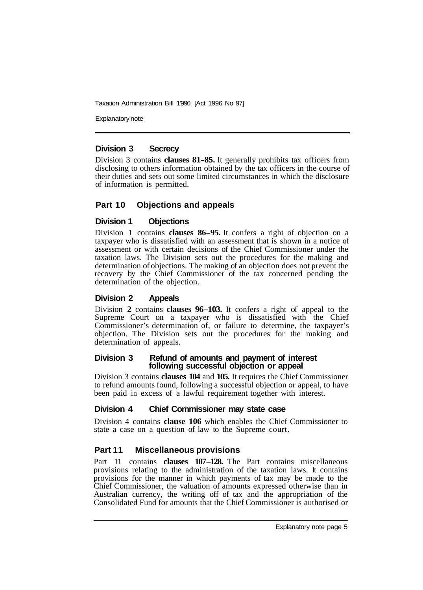Explanatory note

### **Division 3 Secrecy**

Division 3 contains **clauses 81-85.** It generally prohibits tax officers from disclosing to others information obtained by the tax officers in the course of their duties and sets out some limited circumstances in which the disclosure of information is permitted.

### **Part 10 Objections and appeals**

### **Division 1 Objections**

Division 1 contains **clauses 86-95.** It confers a right of objection on a taxpayer who is dissatisfied with an assessment that is shown in a notice of assessment or with certain decisions of the Chief Commissioner under the taxation laws. The Division sets out the procedures for the making and determination of objections. The making of an objection does not prevent the recovery by the Chief Commissioner of the tax concerned pending the determination of the objection.

### **Division 2 Appeals**

Division **2** contains **clauses 96-103.** It confers a right of appeal to the Supreme Court on a taxpayer who is dissatisfied with the Chief Commissioner's determination of, or failure to determine, the taxpayer's objection. The Division sets out the procedures for the making and determination of appeals.

#### **Division 3 Refund of amounts and payment of interest following successful objection or appeal**

Division 3 contains **clauses 104** and **105.** It requires the Chief Commissioner to refund amounts found, following a successful objection or appeal, to have been paid in excess of a lawful requirement together with interest.

### **Division 4 Chief Commissioner may state case**

Division 4 contains **clause 106** which enables the Chief Commissioner to state a case on a question of law to the Supreme court.

### **Part 11 Miscellaneous provisions**

Part 11 contains **clauses 107-128.** The Part contains miscellaneous provisions relating to the administration of the taxation laws. It contains provisions for the manner in which payments of tax may be made to the Chief Commissioner, the valuation of amounts expressed otherwise than in Australian currency, the writing off of tax and the appropriation of the Consolidated Fund for amounts that the Chief Commissioner is authorised or